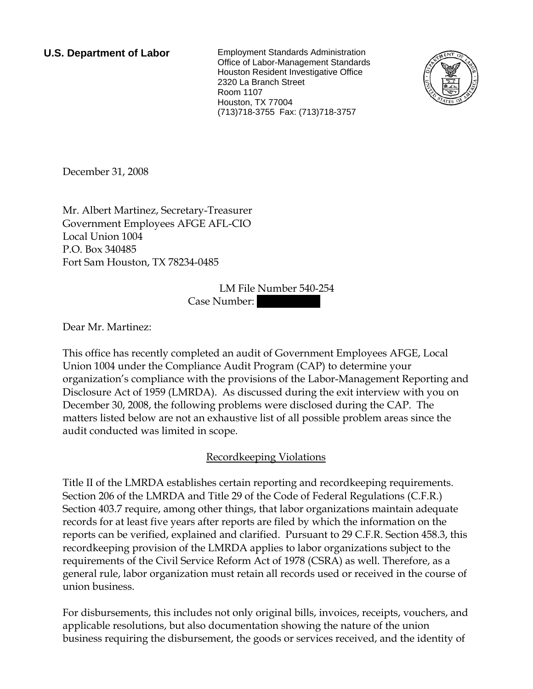**U.S. Department of Labor** Employment Standards Administration Office of Labor-Management Standards Houston Resident Investigative Office 2320 La Branch Street Room 1107 Houston, TX 77004 (713)718-3755 Fax: (713)718-3757



December 31, 2008

Mr. Albert Martinez, Secretary-Treasurer Government Employees AFGE AFL-CIO Local Union 1004 P.O. Box 340485 Fort Sam Houston, TX 78234-0485

> LM File Number 540-254 Case Number:

Dear Mr. Martinez:

This office has recently completed an audit of Government Employees AFGE, Local Union 1004 under the Compliance Audit Program (CAP) to determine your organization's compliance with the provisions of the Labor-Management Reporting and Disclosure Act of 1959 (LMRDA). As discussed during the exit interview with you on December 30, 2008, the following problems were disclosed during the CAP. The matters listed below are not an exhaustive list of all possible problem areas since the audit conducted was limited in scope.

# Recordkeeping Violations

Title II of the LMRDA establishes certain reporting and recordkeeping requirements. Section 206 of the LMRDA and Title 29 of the Code of Federal Regulations (C.F.R.) Section 403.7 require, among other things, that labor organizations maintain adequate records for at least five years after reports are filed by which the information on the reports can be verified, explained and clarified. Pursuant to 29 C.F.R. Section 458.3, this recordkeeping provision of the LMRDA applies to labor organizations subject to the requirements of the Civil Service Reform Act of 1978 (CSRA) as well. Therefore, as a general rule, labor organization must retain all records used or received in the course of union business.

For disbursements, this includes not only original bills, invoices, receipts, vouchers, and applicable resolutions, but also documentation showing the nature of the union business requiring the disbursement, the goods or services received, and the identity of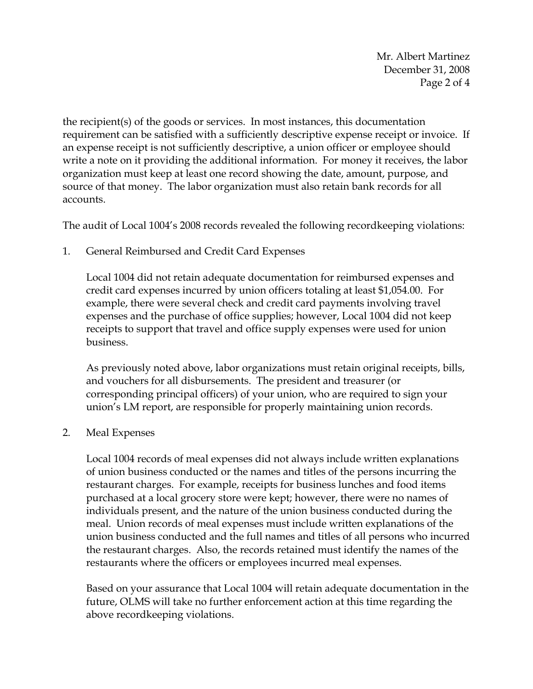Mr. Albert Martinez December 31, 2008 Page 2 of 4

the recipient(s) of the goods or services. In most instances, this documentation requirement can be satisfied with a sufficiently descriptive expense receipt or invoice. If an expense receipt is not sufficiently descriptive, a union officer or employee should write a note on it providing the additional information. For money it receives, the labor organization must keep at least one record showing the date, amount, purpose, and source of that money. The labor organization must also retain bank records for all accounts.

The audit of Local 1004's 2008 records revealed the following recordkeeping violations:

# 1. General Reimbursed and Credit Card Expenses

Local 1004 did not retain adequate documentation for reimbursed expenses and credit card expenses incurred by union officers totaling at least \$1,054.00. For example, there were several check and credit card payments involving travel expenses and the purchase of office supplies; however, Local 1004 did not keep receipts to support that travel and office supply expenses were used for union business.

As previously noted above, labor organizations must retain original receipts, bills, and vouchers for all disbursements. The president and treasurer (or corresponding principal officers) of your union, who are required to sign your union's LM report, are responsible for properly maintaining union records.

# 2. Meal Expenses

Local 1004 records of meal expenses did not always include written explanations of union business conducted or the names and titles of the persons incurring the restaurant charges. For example, receipts for business lunches and food items purchased at a local grocery store were kept; however, there were no names of individuals present, and the nature of the union business conducted during the meal. Union records of meal expenses must include written explanations of the union business conducted and the full names and titles of all persons who incurred the restaurant charges. Also, the records retained must identify the names of the restaurants where the officers or employees incurred meal expenses.

Based on your assurance that Local 1004 will retain adequate documentation in the future, OLMS will take no further enforcement action at this time regarding the above recordkeeping violations.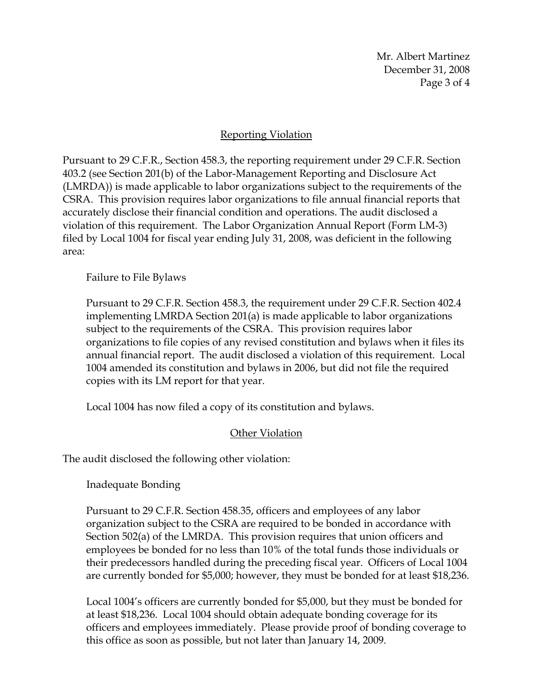Mr. Albert Martinez December 31, 2008 Page 3 of 4

## Reporting Violation

Pursuant to 29 C.F.R., Section 458.3, the reporting requirement under 29 C.F.R. Section 403.2 (see Section 201(b) of the Labor-Management Reporting and Disclosure Act (LMRDA)) is made applicable to labor organizations subject to the requirements of the CSRA. This provision requires labor organizations to file annual financial reports that accurately disclose their financial condition and operations. The audit disclosed a violation of this requirement. The Labor Organization Annual Report (Form LM-3) filed by Local 1004 for fiscal year ending July 31, 2008, was deficient in the following area:

Failure to File Bylaws

Pursuant to 29 C.F.R. Section 458.3, the requirement under 29 C.F.R. Section 402.4 implementing LMRDA Section 201(a) is made applicable to labor organizations subject to the requirements of the CSRA. This provision requires labor organizations to file copies of any revised constitution and bylaws when it files its annual financial report. The audit disclosed a violation of this requirement. Local 1004 amended its constitution and bylaws in 2006, but did not file the required copies with its LM report for that year.

Local 1004 has now filed a copy of its constitution and bylaws.

# Other Violation

The audit disclosed the following other violation:

Inadequate Bonding

Pursuant to 29 C.F.R. Section 458.35, officers and employees of any labor organization subject to the CSRA are required to be bonded in accordance with Section 502(a) of the LMRDA. This provision requires that union officers and employees be bonded for no less than 10% of the total funds those individuals or their predecessors handled during the preceding fiscal year. Officers of Local 1004 are currently bonded for \$5,000; however, they must be bonded for at least \$18,236.

Local 1004's officers are currently bonded for \$5,000, but they must be bonded for at least \$18,236. Local 1004 should obtain adequate bonding coverage for its officers and employees immediately. Please provide proof of bonding coverage to this office as soon as possible, but not later than January 14, 2009.